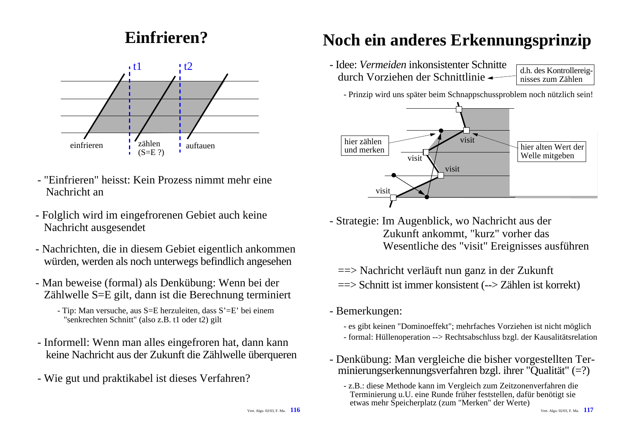### **Einfrieren?**



- "Einfrieren" heisst: Kein Prozess nimmt mehr eineNachricht an
- Folglich wird im eingefrorenen Gebiet auch keine Nachricht ausgesendet
- Nachrichten, die in diesem Gebiet eigentlich ankommen würden, werden als noch unterwegs befindlich angesehen
- Man beweise (formal) als Denkübung: Wenn bei der Zählwelle S=E gilt, dann ist die Berechnung terminiert
	- Tip: Man versuche, aus S=E herzuleiten, dass S'=E' bei einem "senkrechten Schnitt" (also z.B. t1 oder t2) gilt
- Informell: Wenn man alles eingefroren hat, dann kann keine Nachricht aus der Zukunft die Zählwelle überqueren
- Wie gut und praktikabel ist dieses Verfahren?

### **Noch ein anderes Erkennungsprinzip**

- Idee: *Vermeiden* inkonsistenter Schnittedurch Vorziehen der Schnittlinie

 d.h. des Kontrollereig nisses zum Zählen

- Prinzip wird uns später beim Schnappschussproblem noch nützlich sein!



- Strategie: Im Augenblick, wo Nachricht aus der Zukunft ankommt, "kurz" vorher das Wesentliche des "visit" Ereignisses ausführen

==> Nachricht verläuft nun ganz in der Zukunft ==> Schnitt ist immer konsistent (--> Zählen ist korrekt)

- Bemerkungen:
	- es gibt keinen "Dominoeffekt"; mehrfaches Vorziehen ist nicht möglich - formal: Hüllenoperation --> Rechtsabschluss bzgl. der Kausalitätsrelation
- Denkübung: Man vergleiche die bisher vorgestellten Terminierungserkennungsverfahren bzgl. ihrer "Qualität" (=?)
	- z.B.: diese Methode kann im Vergleich zum Zeitzonenverfahren die Terminierung u.U. eine Runde früher feststellen, dafür benötigt sie etwas mehr Speicherplatz (zum "Merken" der Werte)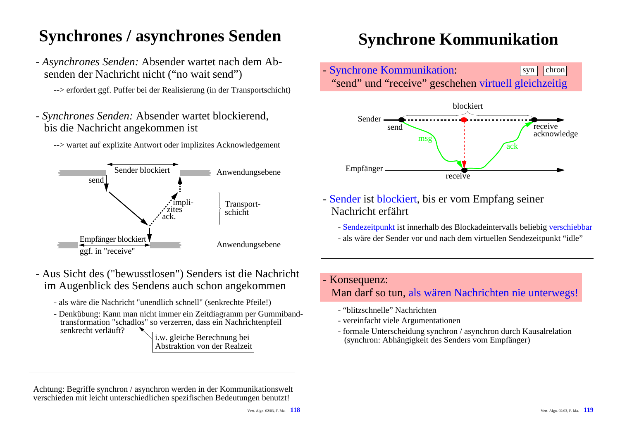## **Synchrones / asynchrones Senden**

- *Asynchrones Senden:* Absender wartet nach dem Ab senden der Nachricht nicht ("no wait send")

--> erfordert ggf. Puffer bei der Realisierung (in der Transportschicht)

- *Synchrones Senden:* Absender wartet blockierend, bis die Nachricht angekommen ist





- Aus Sicht des ("bewusstlosen") Senders ist die Nachricht im Augenblick des Sendens auch schon angekommen
	- als wäre die Nachricht "unendlich schnell" (senkrechte Pfeile!)
	- Denkübung: Kann man nicht immer ein Zeitdiagramm per Gummiband transformation "schadlos" so verzerren, dass ein Nachrichtenpfeil senkrecht verläuft?

i.w. gleiche Berechnung bei Abstraktion von der Realzeit

### **Synchrone Kommunikation**





- Sender ist blockiert, bis er vom Empfang seiner Nachricht erfährt

- Sendezeitpunkt ist innerhalb des Blockadeintervalls beliebig verschiebbar
- als wäre der Sender vor und nach dem virtuellen Sendezeitpunkt "idle"
- Konsequenz:

Man darf so tun, als wären Nachrichten nie unterwegs!

- "blitzschnelle" Nachrichten
- vereinfacht viele Argumentationen
- formale Unterscheidung synchron / asynchron durch Kausalrelation (synchron: Abhängigkeit des Senders vom Empfänger)

Achtung: Begriffe synchron / asynchron werden in der Kommunikationswelt verschieden mit leicht unterschiedlichen spezifischen Bedeutungen benutzt!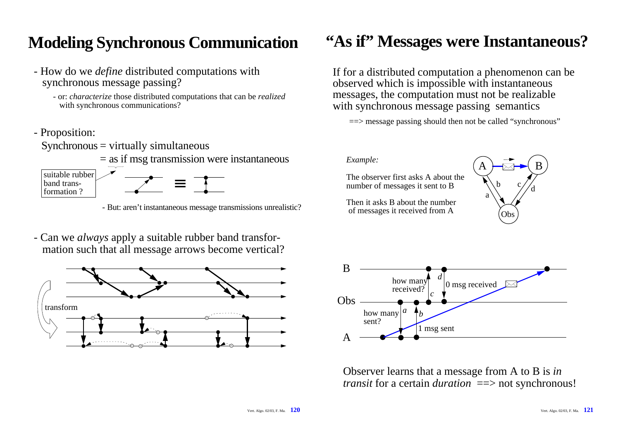### **Modeling Synchronous Communication**

- How do we *define* distributed computations with synchronous message passing?
	- or: *characterize* those distributed computations that can be *realized* with synchronous communications?
- Proposition:
	- $Synchronous = virtually simultaneous$ 
		- = as if msg transmission were instantaneous



- But: aren't instantaneous message transmissions unrealistic?
- Can we *always* apply a suitable rubber band transfor mation such that all message arrows become vertical?



### **"As if" Messages were Instantaneous?**

If for a distributed computation a phenomenon can be observed which is impossible with instantaneous messages, the computation must not be realizable with synchronous message passing semantics

 $\Rightarrow$  message passing should then not be called "synchronous"

#### *Example:*

The observer first asks A about thenumber of messages it sent to B

Then it asks B about the numberof messages it received from A





Observer learns that a message from A to B is *in transit* for a certain *duration* ==> not synchronous!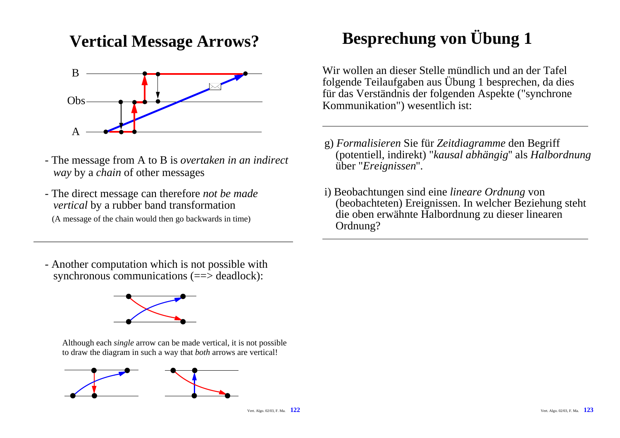### **Vertical Message Arrows?**



- The message from A to B is *overtaken in an indirect way* by a *chain* of other messages
- The direct message can therefore *not be made vertical* by a rubber band transformation (A message of the chain would then go backwards in time)

# **Besprechung von Übung 1**

Wir wollen an dieser Stelle mündlich und an der Tafelfolgende Teilaufgaben aus Übung 1 besprechen, da dies für das Verständnis der folgenden Aspekte ("synchrone Kommunikation") wesentlich ist:

- g) *Formalisieren* Sie für *Zeitdiagramme* den Begriff (potentiell, indirekt) "*kausal abhängig*'' als *Halbordnung* über "*Ereignissen*''.
- i) Beobachtungen sind eine *lineare Ordnung* von (beobachteten) Ereignissen. In welcher Beziehung steht die oben erwähnte Halbordnung zu dieser linearen Ordnung?

- Another computation which is not possible with synchronous communications (==> deadlock):



Although each *single* arrow can be made vertical, it is not possible to draw the diagram in such a way that *both* arrows are vertical!

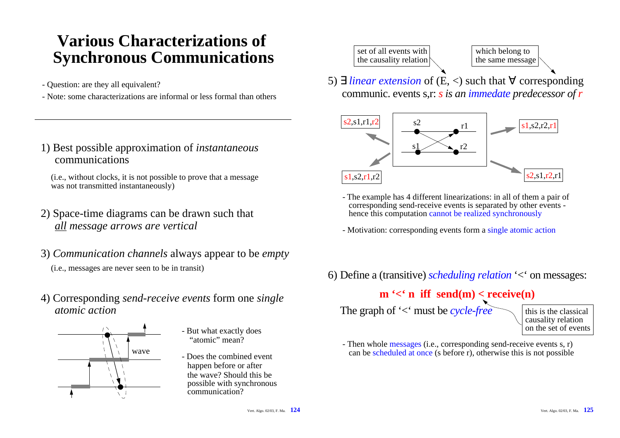### **Various Characterizations of Synchronous Communications**

- Question: are they all equivalent?
- Note: some characterizations are informal or less formal than others
- 1) Best possible approximation of *instantaneous* communications

(i.e., without clocks, it is not possible to prove that a message was not transmitted instantaneously)

- 2) Space-time diagrams can be drawn such that *all message arrows are vertical*
- 3) *Communication channels* always appear to be *empty* (i.e., messages are never seen to be in transit)
- 4) Corresponding *send-receive events* form one *single atomic action*



- But what exactly does "atomic" mean?
- Does the combined eventhappen before or after the wave? Should this bepossible with synchronous communication?



5) ∃ *linear extension* of (E, <) such that ∀ corresponding communic. events s,r: *s is an immedate predecessor of <sup>r</sup>*



- The example has 4 different linearizations: in all of them a pair of corresponding send-receive events is separated by other events hence this computation cannot be realized synchronously
- Motivation: corresponding events form a single atomic action
- 6) Define a (transitive) *scheduling relation* '<' on messages:

### $m' < n$  iff send(m) < receive(n)

The graph of '<' must be *cycle-free*

this is the classicalcausality relation on the set of events

- Then whole messages (i.e., corresponding send-receive events s, r) can be scheduled at once (s before r), otherwise this is not possible